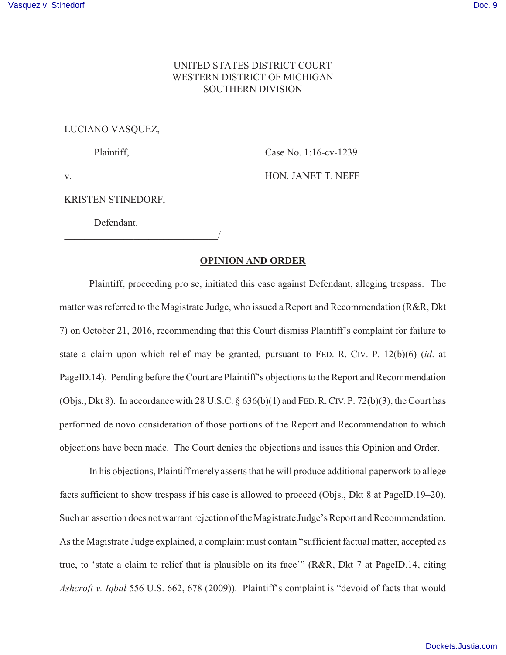## UNITED STATES DISTRICT COURT WESTERN DISTRICT OF MICHIGAN SOUTHERN DIVISION

## LUCIANO VASQUEZ,

Plaintiff,

Case No. 1:16-cv-1239

v.

HON. JANET T. NEFF

## KRISTEN STINEDORF,

Defendant.

 $\overline{\phantom{a}}$ 

## **OPINION AND ORDER**

Plaintiff, proceeding pro se, initiated this case against Defendant, alleging trespass. The matter was referred to the Magistrate Judge, who issued a Report and Recommendation (R&R, Dkt 7) on October 21, 2016, recommending that this Court dismiss Plaintiff's complaint for failure to state a claim upon which relief may be granted, pursuant to FED. R. CIV. P. 12(b)(6) (*id*. at PageID.14). Pending before the Court are Plaintiff's objections to the Report and Recommendation (Objs., Dkt 8). In accordance with 28 U.S.C.  $\S 636(b)(1)$  and FED. R. CIV. P. 72(b)(3), the Court has performed de novo consideration of those portions of the Report and Recommendation to which objections have been made. The Court denies the objections and issues this Opinion and Order.

In his objections, Plaintiff merely asserts that he will produce additional paperwork to allege facts sufficient to show trespass if his case is allowed to proceed (Objs., Dkt 8 at PageID.19–20). Such an assertion does not warrant rejection of the Magistrate Judge's Report and Recommendation. As the Magistrate Judge explained, a complaint must contain "sufficient factual matter, accepted as true, to 'state a claim to relief that is plausible on its face'" (R&R, Dkt 7 at PageID.14, citing *Ashcroft v. Iqbal* 556 U.S. 662, 678 (2009)). Plaintiff's complaint is "devoid of facts that would